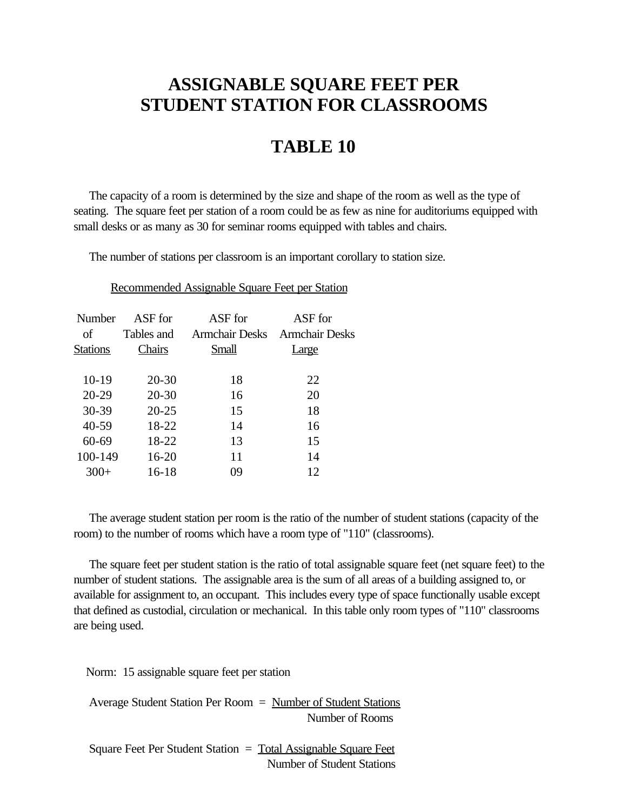## **ASSIGNABLE SQUARE FEET PER STUDENT STATION FOR CLASSROOMS**

## **TABLE 10**

 The capacity of a room is determined by the size and shape of the room as well as the type of seating. The square feet per station of a room could be as few as nine for auditoriums equipped with small desks or as many as 30 for seminar rooms equipped with tables and chairs.

The number of stations per classroom is an important corollary to station size.

Recommended Assignable Square Feet per Station

| Number          | ASF for    | ASF for               | ASF for        |  |  |  |
|-----------------|------------|-----------------------|----------------|--|--|--|
| of              | Tables and | <b>Armchair Desks</b> | Armchair Desks |  |  |  |
| <b>Stations</b> | Chairs     | Small                 | arge           |  |  |  |
|                 |            |                       |                |  |  |  |
| $10-19$         | $20 - 30$  | 18                    | 22             |  |  |  |
| $20 - 29$       | $20 - 30$  | 16                    | 20             |  |  |  |
| $30 - 39$       | $20 - 25$  | 15                    | 18             |  |  |  |
| $40 - 59$       | 18-22      | 14                    | 16             |  |  |  |
| $60 - 69$       | 18-22      | 13                    | 15             |  |  |  |
| 100-149         | 16-20      | 11                    | 14             |  |  |  |
| $300+$          | 16-18      | 09                    | 12             |  |  |  |
|                 |            |                       |                |  |  |  |

 The average student station per room is the ratio of the number of student stations (capacity of the room) to the number of rooms which have a room type of "110" (classrooms).

 The square feet per student station is the ratio of total assignable square feet (net square feet) to the number of student stations. The assignable area is the sum of all areas of a building assigned to, or available for assignment to, an occupant. This includes every type of space functionally usable except that defined as custodial, circulation or mechanical. In this table only room types of "110" classrooms are being used.

Norm: 15 assignable square feet per station

Average Student Station Per Room  $=$  <u>Number of Student Stations</u> Number of Rooms

 Square Feet Per Student Station = Total Assignable Square Feet Number of Student Stations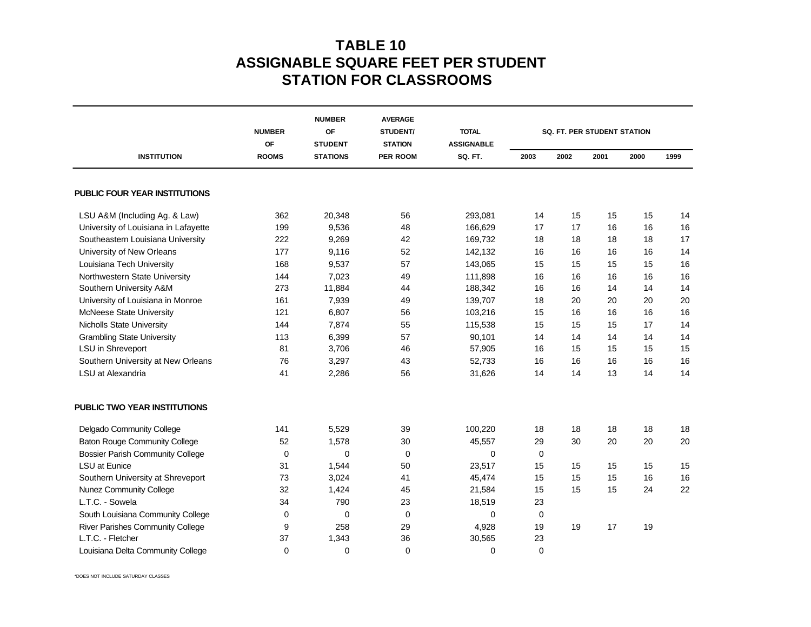## **TABLE 10 ASSIGNABLE SQUARE FEET PER STUDENT STATION FOR CLASSROOMS**

|                                         | <b>NUMBER</b><br>OF<br><b>ROOMS</b> | <b>NUMBER</b><br>OF<br><b>STUDENT</b><br><b>STATIONS</b> | <b>AVERAGE</b><br>STUDENT/<br><b>STATION</b><br><b>PER ROOM</b> | <b>TOTAL</b><br><b>ASSIGNABLE</b><br>SQ. FT. | <b>SQ. FT. PER STUDENT STATION</b> |      |      |      |      |
|-----------------------------------------|-------------------------------------|----------------------------------------------------------|-----------------------------------------------------------------|----------------------------------------------|------------------------------------|------|------|------|------|
| <b>INSTITUTION</b>                      |                                     |                                                          |                                                                 |                                              | 2003                               | 2002 | 2001 | 2000 | 1999 |
| PUBLIC FOUR YEAR INSTITUTIONS           |                                     |                                                          |                                                                 |                                              |                                    |      |      |      |      |
| LSU A&M (Including Ag. & Law)           | 362                                 | 20,348                                                   | 56                                                              | 293,081                                      | 14                                 | 15   | 15   | 15   | 14   |
| University of Louisiana in Lafayette    | 199                                 | 9,536                                                    | 48                                                              | 166,629                                      | 17                                 | 17   | 16   | 16   | 16   |
| Southeastern Louisiana University       | 222                                 | 9,269                                                    | 42                                                              | 169,732                                      | 18                                 | 18   | 18   | 18   | 17   |
| University of New Orleans               | 177                                 | 9,116                                                    | 52                                                              | 142,132                                      | 16                                 | 16   | 16   | 16   | 14   |
| Louisiana Tech University               | 168                                 | 9,537                                                    | 57                                                              | 143,065                                      | 15                                 | 15   | 15   | 15   | 16   |
| Northwestern State University           | 144                                 | 7,023                                                    | 49                                                              | 111,898                                      | 16                                 | 16   | 16   | 16   | 16   |
| Southern University A&M                 | 273                                 | 11,884                                                   | 44                                                              | 188,342                                      | 16                                 | 16   | 14   | 14   | 14   |
| University of Louisiana in Monroe       | 161                                 | 7,939                                                    | 49                                                              | 139,707                                      | 18                                 | 20   | 20   | 20   | 20   |
| <b>McNeese State University</b>         | 121                                 | 6,807                                                    | 56                                                              | 103,216                                      | 15                                 | 16   | 16   | 16   | 16   |
| Nicholls State University               | 144                                 | 7,874                                                    | 55                                                              | 115,538                                      | 15                                 | 15   | 15   | 17   | 14   |
| <b>Grambling State University</b>       | 113                                 | 6,399                                                    | 57                                                              | 90,101                                       | 14                                 | 14   | 14   | 14   | 14   |
| LSU in Shreveport                       | 81                                  | 3,706                                                    | 46                                                              | 57,905                                       | 16                                 | 15   | 15   | 15   | 15   |
| Southern University at New Orleans      | 76                                  | 3,297                                                    | 43                                                              | 52,733                                       | 16                                 | 16   | 16   | 16   | 16   |
| LSU at Alexandria                       | 41                                  | 2,286                                                    | 56                                                              | 31,626                                       | 14                                 | 14   | 13   | 14   | 14   |
| PUBLIC TWO YEAR INSTITUTIONS            |                                     |                                                          |                                                                 |                                              |                                    |      |      |      |      |
| Delgado Community College               | 141                                 | 5,529                                                    | 39                                                              | 100,220                                      | 18                                 | 18   | 18   | 18   | 18   |
| <b>Baton Rouge Community College</b>    | 52                                  | 1,578                                                    | 30                                                              | 45,557                                       | 29                                 | 30   | 20   | 20   | 20   |
| <b>Bossier Parish Community College</b> | 0                                   | 0                                                        | 0                                                               | 0                                            | 0                                  |      |      |      |      |
| <b>LSU</b> at Eunice                    | 31                                  | 1,544                                                    | 50                                                              | 23,517                                       | 15                                 | 15   | 15   | 15   | 15   |
| Southern University at Shreveport       | 73                                  | 3,024                                                    | 41                                                              | 45,474                                       | 15                                 | 15   | 15   | 16   | 16   |
| <b>Nunez Community College</b>          | 32                                  | 1,424                                                    | 45                                                              | 21,584                                       | 15                                 | 15   | 15   | 24   | 22   |
| L.T.C. - Sowela                         | 34                                  | 790                                                      | 23                                                              | 18,519                                       | 23                                 |      |      |      |      |
| South Louisiana Community College       | 0                                   | 0                                                        | 0                                                               | 0                                            | 0                                  |      |      |      |      |
| River Parishes Community College        | 9                                   | 258                                                      | 29                                                              | 4,928                                        | 19                                 | 19   | 17   | 19   |      |
| L.T.C. - Fletcher                       | 37                                  | 1,343                                                    | 36                                                              | 30,565                                       | 23                                 |      |      |      |      |
| Louisiana Delta Community College       | $\mathbf 0$                         | $\Omega$                                                 | $\mathbf 0$                                                     | $\mathbf 0$                                  | $\mathbf 0$                        |      |      |      |      |